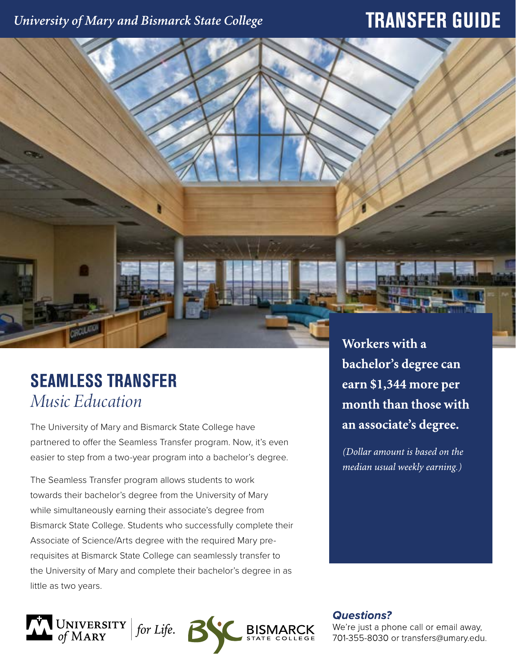### University of Mary and Bismarck State College

## **TRANSFER GUIDE**

# **SEAMLESS TRANSFER** *Music Education*

The University of Mary and Bismarck State College have partnered to offer the Seamless Transfer program. Now, it's even easier to step from a two-year program into a bachelor's degree.

The Seamless Transfer program allows students to work towards their bachelor's degree from the University of Mary while simultaneously earning their associate's degree from Bismarck State College. Students who successfully complete their Associate of Science/Arts degree with the required Mary prerequisites at Bismarck State College can seamlessly transfer to the University of Mary and complete their bachelor's degree in as little as two years.



Workers with a bachelor's degree can earn \$1,344 more per month than those with an associate's degree.

(Dollar amount is based on the median usual weekly earning.)

**Questions?** 

We're just a phone call or email away, 701-355-8030 or transfers@umary.edu.